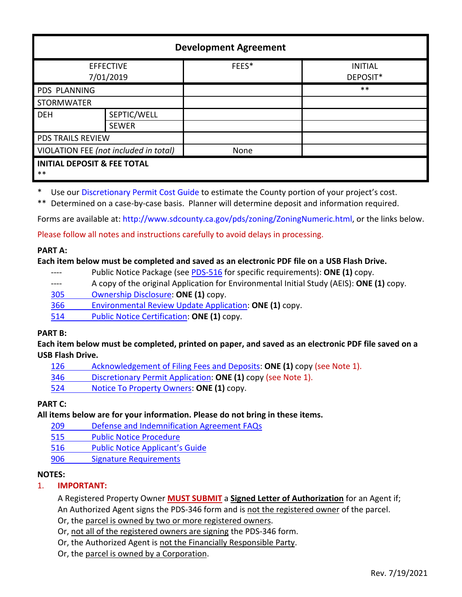| <b>Development Agreement</b>                    |              |       |                            |
|-------------------------------------------------|--------------|-------|----------------------------|
| <b>EFFECTIVE</b><br>7/01/2019                   |              | FEES* | <b>INITIAL</b><br>DEPOSIT* |
| <b>PDS PLANNING</b>                             |              |       | $***$                      |
| <b>STORMWATER</b>                               |              |       |                            |
| <b>DEH</b>                                      | SEPTIC/WELL  |       |                            |
|                                                 | <b>SEWER</b> |       |                            |
| <b>PDS TRAILS REVIEW</b>                        |              |       |                            |
| VIOLATION FEE (not included in total)           |              | None  |                            |
| <b>INITIAL DEPOSIT &amp; FEE TOTAL</b><br>$***$ |              |       |                            |

\* Use our [Discretionary Permit Cost Guide](http://www.sandiegocounty.gov/content/dam/sdc/pds/docs/Discretionary_Permit_Cost_Guide.xlsx) to estimate the County portion of your project's cost.

\*\* Determined on a case-by-case basis. Planner will determine deposit and information required.

Forms are available at[: http://www.sdcounty.ca.gov/pds/zoning/ZoningNumeric.html,](http://www.sdcounty.ca.gov/pds/zoning/ZoningNumeric.html) or the links below.

Please follow all notes and instructions carefully to avoid delays in processing.

### **PART A:**

### **Each item below must be completed and saved as an electronic PDF file on a USB Flash Drive.**

- ---- Public Notice Package (see [PDS-516](http://www.sdcounty.ca.gov/pds/zoning/formfields/PDS-PLN-516.pdf) for specific requirements): **ONE (1)** copy.
- ---- A copy of the original Application for Environmental Initial Study (AEIS): **ONE (1)** copy.
- [305 Ownership Disclosure:](http://www.sdcounty.ca.gov/pds/zoning/formfields/PDS-PLN-305.pdf) **ONE (1)** copy.
- 366 [Environmental Review Update Application:](http://www.sdcounty.ca.gov/pds/zoning/formfields/PDS-PLN-366.pdf) **ONE (1)** copy.
- 514 [Public Notice Certification:](http://www.sdcounty.ca.gov/pds/zoning/formfields/PDS-PLN-514.pdf) **ONE (1)** copy.

# **PART B:**

**Each item below must be completed, printed on paper, and saved as an electronic PDF file saved on a USB Flash Drive.**

- [126 Acknowledgement of Filing Fees](http://www.sdcounty.ca.gov/pds/zoning/formfields/PDS-PLN-126.pdf) and Deposits: **ONE (1)** copy (see Note 1).
- 346 [Discretionary Permit Application:](http://www.sdcounty.ca.gov/pds/zoning/formfields/PDS-PLN-346.pdf) **ONE (1)** copy (see Note 1).
- 524 [Notice To Property Owners:](http://www.sdcounty.ca.gov/pds/zoning/formfields/PDS-PLN-524.pdf) **ONE (1)** copy.

# **PART C:**

**All items below are for your information. Please do not bring in these items.**

- 209 [Defense and Indemnification Agreement FAQs](http://www.sdcounty.ca.gov/pds/zoning/formfields/PDS-PLN-209.pdf)
- [515 Public Notice Procedure](http://www.sdcounty.ca.gov/pds/zoning/formfields/PDS-PLN-515.pdf)
- 516 Public N[otice Applicant's Guide](http://www.sdcounty.ca.gov/pds/zoning/formfields/PDS-PLN-516.pdf)
- 906 Signature Requirements

# **NOTES:**

### 1. **IMPORTANT:**

A Registered Property Owner **MUST SUBMIT** a **Signed Letter of Authorization** for an Agent if; An Authorized Agent signs the PDS-346 form and is not the registered owner of the parcel.

Or, the parcel is owned by two or more registered owners.

- Or, not all of the registered owners are signing the PDS-346 form.
- Or, the Authorized Agent is not the Financially Responsible Party.
- Or, the parcel is owned by a Corporation.